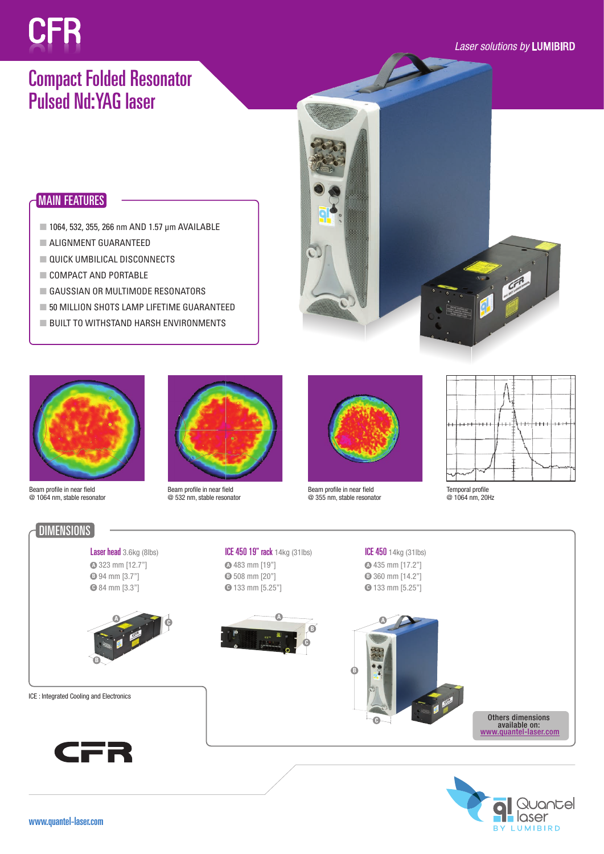# CFR

#### *Laser solutions by* LUMIBIRD

# Compact Folded Resonator Pulsed Nd:YAG laser

## MAIN FEATURES

- 1064, 532, 355, 266 nm AND 1.57 µm AVAILABLE
- ALIGNMENT GUARANTEED
- **QUICK UMBILICAL DISCONNECTS**
- COMPACT AND PORTABLE
- GAUSSIAN OR MULTIMODE RESONATORS
- 50 MILLION SHOTS LAMP LIFETIME GUARANTEED
- BUILT TO WITHSTAND HARSH ENVIRONMENTS



Beam profile in near field @ 1064 nm, stable resonator



ICE 450 19" rack 14kg (31lbs)

**A**

**C**

483 mm [19"] **A** 508 mm [20"] **B** 133 mm [5.25"] **C**

Beam profile in near field @ 532 nm, stable resonator



ICE 450 14kg (31lbs) 435 mm [17.2"] **A** 360 mm [14.2"] **B** 133 mm [5.25"] **C**

**A**

**C**

Beam profile in near field @ 355 nm, stable resonator

**B**



Temporal profile @ 1064 nm, 20Hz



Laser head 3.6kg (8lbs) 323 mm [12.7"] **A** 94 mm [3.7"] **B**

84 mm [3.3"] **C**



ICE : Integrated Cooling and Electronics





Others dimensions available on: www.quantel-laser.com